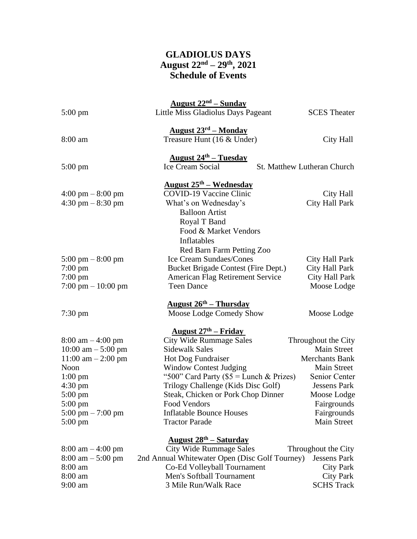## **GLADIOLUS DAYS August 22nd – 29th, 2021 Schedule of Events**

|                                           | <u>August <math>22nd</math> – Sunday</u>                     |                             |  |  |
|-------------------------------------------|--------------------------------------------------------------|-----------------------------|--|--|
| $5:00 \text{ pm}$                         | Little Miss Gladiolus Days Pageant                           | <b>SCES</b> Theater         |  |  |
|                                           | <u> August 23<sup>rd</sup> – Monday</u>                      |                             |  |  |
| 8:00 am                                   | Treasure Hunt (16 & Under)                                   | City Hall                   |  |  |
|                                           |                                                              |                             |  |  |
|                                           | <u> August 24<sup>th</sup> – Tuesday</u><br>Ice Cream Social | St. Matthew Lutheran Church |  |  |
| $5:00 \text{ pm}$                         |                                                              |                             |  |  |
|                                           | <u> August 25<sup>th</sup> – Wednesday</u>                   |                             |  |  |
| $4:00 \text{ pm} - 8:00 \text{ pm}$       | <b>COVID-19 Vaccine Clinic</b>                               | City Hall                   |  |  |
| $4:30 \text{ pm} - 8:30 \text{ pm}$       | What's on Wednesday's                                        | City Hall Park              |  |  |
|                                           | <b>Balloon Artist</b>                                        |                             |  |  |
|                                           | Royal T Band                                                 |                             |  |  |
|                                           | Food & Market Vendors                                        |                             |  |  |
|                                           | Inflatables                                                  |                             |  |  |
|                                           | Red Barn Farm Petting Zoo                                    |                             |  |  |
| $5:00 \text{ pm} - 8:00 \text{ pm}$       | <b>Ice Cream Sundaes/Cones</b>                               | City Hall Park              |  |  |
| $7:00 \text{ pm}$                         | Bucket Brigade Contest (Fire Dept.)                          | City Hall Park              |  |  |
| $7:00 \text{ pm}$                         | <b>American Flag Retirement Service</b>                      | City Hall Park              |  |  |
| 7:00 pm $- 10:00$ pm                      | <b>Teen Dance</b>                                            | Moose Lodge                 |  |  |
|                                           | <u> August 26<sup>th</sup> – Thursday</u>                    |                             |  |  |
| $7:30 \text{ pm}$                         | Moose Lodge Comedy Show                                      | Moose Lodge                 |  |  |
|                                           | <u> August 27<sup>th</sup> – Friday</u>                      |                             |  |  |
| $8:00 \text{ am} - 4:00 \text{ pm}$       | <b>City Wide Rummage Sales</b>                               | Throughout the City         |  |  |
| 10:00 am $-$ 5:00 pm                      | <b>Sidewalk Sales</b>                                        | Main Street                 |  |  |
| $11:00$ am $-2:00$ pm                     | Hot Dog Fundraiser                                           | <b>Merchants Bank</b>       |  |  |
| Noon                                      | <b>Window Contest Judging</b>                                | Main Street                 |  |  |
| $1:00 \text{ pm}$                         | "500" Card Party ( $$5 =$ Lunch & Prizes)                    | Senior Center               |  |  |
| 4:30 pm                                   | Trilogy Challenge (Kids Disc Golf)                           | <b>Jessens Park</b>         |  |  |
| $5:00 \text{ pm}$                         | Steak, Chicken or Pork Chop Dinner                           | Moose Lodge                 |  |  |
| $5:00 \text{ pm}$                         | Food Vendors                                                 | Fairgrounds                 |  |  |
| $5:00 \text{ pm} - 7:00 \text{ pm}$       | <b>Inflatable Bounce Houses</b>                              | Fairgrounds                 |  |  |
| $5:00 \text{ pm}$                         | <b>Tractor Parade</b>                                        | Main Street                 |  |  |
| <u> August 28<sup>th</sup> – Saturday</u> |                                                              |                             |  |  |
| $8:00 \text{ am} - 4:00 \text{ pm}$       | <b>City Wide Rummage Sales</b>                               | Throughout the City         |  |  |
| $8:00 \text{ am} - 5:00 \text{ pm}$       | 2nd Annual Whitewater Open (Disc Golf Tourney)               | <b>Jessens Park</b>         |  |  |
| 8:00 am                                   | Co-Ed Volleyball Tournament                                  | <b>City Park</b>            |  |  |
| 8:00 am                                   | Men's Softball Tournament                                    | <b>City Park</b>            |  |  |
| $9:00$ am                                 | 3 Mile Run/Walk Race                                         | <b>SCHS Track</b>           |  |  |